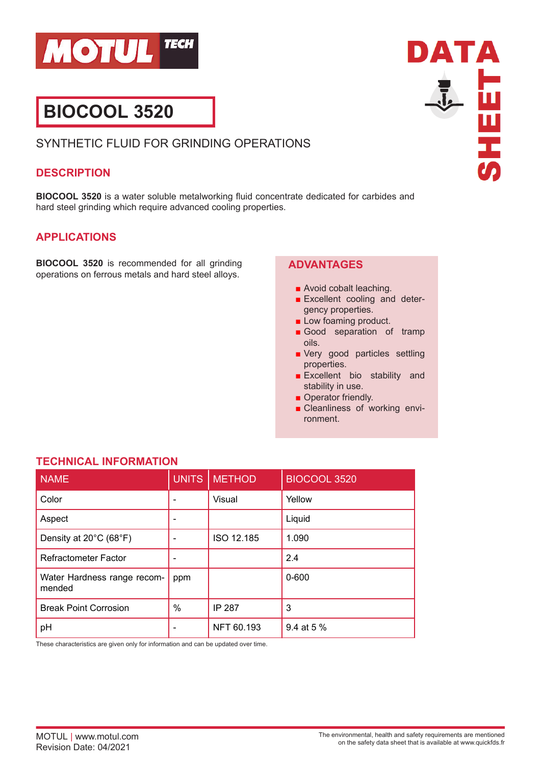

# **BIOCOOL 3520**

# SYNTHETIC FLUID FOR GRINDING OPERATIONS

#### **DESCRIPTION**

**BIOCOOL 3520** is a water soluble metalworking fluid concentrate dedicated for carbides and hard steel grinding which require advanced cooling properties.

## **APPLICATIONS**

**BIOCOOL 3520** is recommended for all grinding operations on ferrous metals and hard steel alloys.

## **ADVANTAGES**

- Avoid cobalt leaching.
- Excellent cooling and detergency properties.

DATA

**TERN** 

- Low foaming product.
- Good separation of tramp oils.
- Very good particles settling properties.
- Excellent bio stability and stability in use.
- Operator friendly.
- Cleanliness of working environment.

| <b>NAME</b>                           | <b>UNITS</b> | <b>METHOD</b> | BIOCOOL 3520 |
|---------------------------------------|--------------|---------------|--------------|
| Color                                 | ۰            | Visual        | Yellow       |
| Aspect                                | ۰            |               | Liquid       |
| Density at 20°C (68°F)                |              | ISO 12.185    | 1.090        |
| <b>Refractometer Factor</b>           |              |               | 2.4          |
| Water Hardness range recom-<br>mended | ppm          |               | $0 - 600$    |
| <b>Break Point Corrosion</b>          | $\%$         | IP 287        | 3            |
| pH                                    |              | NFT 60.193    | 9.4 at 5 %   |

**TECHNICAL INFORMATION**

These characteristics are given only for information and can be updated over time.